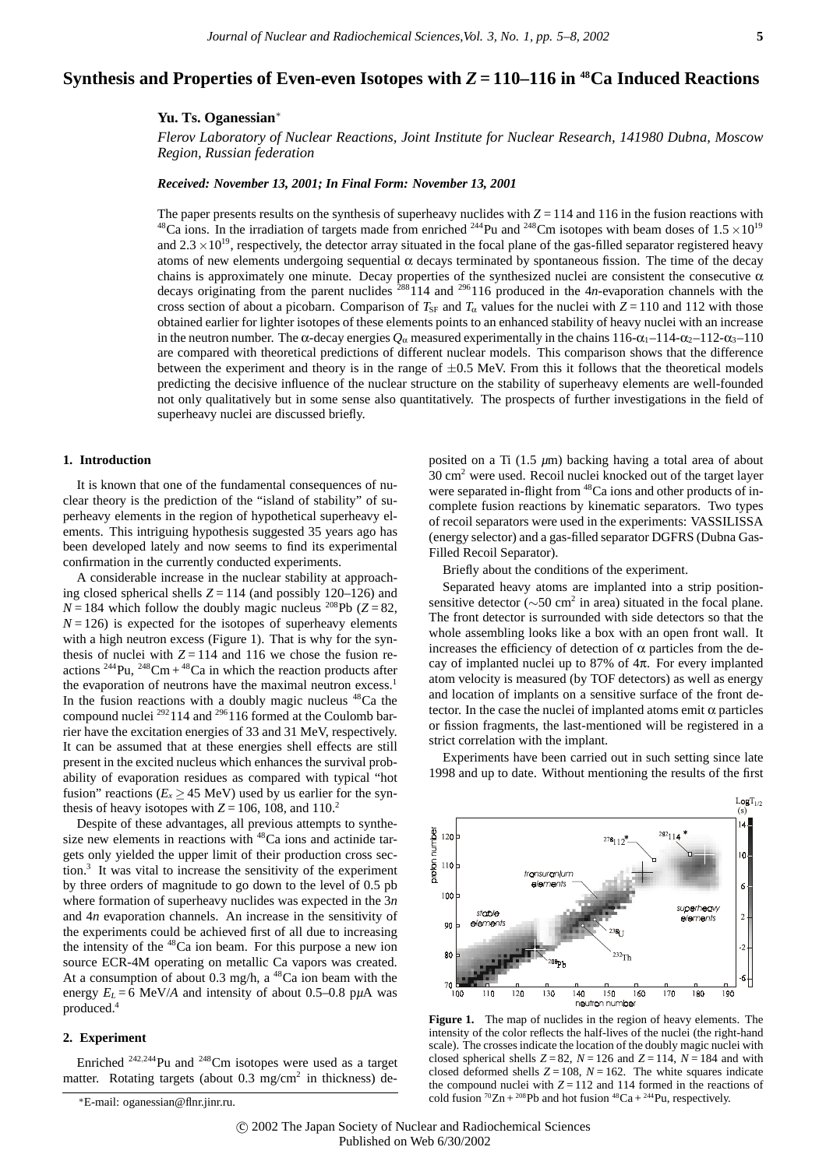# **Synthesis and Properties of Even-even Isotopes with** *Z* **= 110–116 in 48Ca Induced Reactions**

## **Yu. Ts. Oganessian**<sup>∗</sup>

*Flerov Laboratory of Nuclear Reactions, Joint Institute for Nuclear Research, 141980 Dubna, Moscow Region, Russian federation*

#### *Received: November 13, 2001; In Final Form: November 13, 2001*

The paper presents results on the synthesis of superheavy nuclides with  $Z = 114$  and 116 in the fusion reactions with <sup>48</sup>Ca ions. In the irradiation of targets made from enriched <sup>244</sup>Pu and <sup>248</sup>Cm isotopes with beam doses of  $1.5 \times 10^{19}$ and  $2.3 \times 10^{19}$ , respectively, the detector array situated in the focal plane of the gas-filled separator registered heavy atoms of new elements undergoing sequential  $\alpha$  decays terminated by spontaneous fission. The time of the decay chains is approximately one minute. Decay properties of the synthesized nuclei are consistent the consecutive  $\alpha$ decays originating from the parent nuclides  $288114$  and  $296116$  produced in the 4*n*-evaporation channels with the cross section of about a picobarn. Comparison of  $T_{SF}$  and  $T_{\alpha}$  values for the nuclei with  $Z = 110$  and 112 with those obtained earlier for lighter isotopes of these elements points to an enhanced stability of heavy nuclei with an increase in the neutron number. The  $\alpha$ -decay energies  $Q_{\alpha}$  measured experimentally in the chains 116- $\alpha_1$ –114- $\alpha_2$ –112- $\alpha_3$ –110 are compared with theoretical predictions of different nuclear models. This comparison shows that the difference between the experiment and theory is in the range of  $\pm 0.5$  MeV. From this it follows that the theoretical models predicting the decisive influence of the nuclear structure on the stability of superheavy elements are well-founded not only qualitatively but in some sense also quantitatively. The prospects of further investigations in the field of superheavy nuclei are discussed briefly.

### **1. Introduction**

It is known that one of the fundamental consequences of nuclear theory is the prediction of the "island of stability" of superheavy elements in the region of hypothetical superheavy elements. This intriguing hypothesis suggested 35 years ago has been developed lately and now seems to find its experimental confirmation in the currently conducted experiments.

A considerable increase in the nuclear stability at approaching closed spherical shells  $Z = 114$  (and possibly 120–126) and  $N = 184$  which follow the doubly magic nucleus <sup>208</sup>Pb ( $Z = 82$ ,  $N = 126$ ) is expected for the isotopes of superheavy elements with a high neutron excess (Figure 1). That is why for the synthesis of nuclei with  $Z = 114$  and 116 we chose the fusion reactions  $^{244}$ Pu,  $^{248}$ Cm +  $^{48}$ Ca in which the reaction products after the evaporation of neutrons have the maximal neutron excess.<sup>1</sup> In the fusion reactions with a doubly magic nucleus  $^{48}Ca$  the compound nuclei 292114 and 296116 formed at the Coulomb barrier have the excitation energies of 33 and 31 MeV, respectively. It can be assumed that at these energies shell effects are still present in the excited nucleus which enhances the survival probability of evaporation residues as compared with typical "hot fusion" reactions ( $E_x \ge 45$  MeV) used by us earlier for the synthesis of heavy isotopes with  $Z = 106$ , 108, and 110.<sup>2</sup>

Despite of these advantages, all previous attempts to synthesize new elements in reactions with <sup>48</sup>Ca ions and actinide targets only yielded the upper limit of their production cross section.3 It was vital to increase the sensitivity of the experiment by three orders of magnitude to go down to the level of 0.5 pb where formation of superheavy nuclides was expected in the 3*n* and 4*n* evaporation channels. An increase in the sensitivity of the experiments could be achieved first of all due to increasing the intensity of the  $48$ Ca ion beam. For this purpose a new ion source ECR-4M operating on metallic Ca vapors was created. At a consumption of about 0.3 mg/h, a  $^{48}$ Ca ion beam with the energy  $E_L = 6$  MeV/*A* and intensity of about 0.5–0.8 p $\mu$ A was produced.4

### **2. Experiment**

Enriched <sup>242,244</sup>Pu and <sup>248</sup>Cm isotopes were used as a target matter. Rotating targets (about  $0.3 \text{ mg/cm}^2$  in thickness) de-

posited on a Ti (1.5 *µ*m) backing having a total area of about  $30 \text{ cm}^2$  were used. Recoil nuclei knocked out of the target layer were separated in-flight from <sup>48</sup>Ca ions and other products of incomplete fusion reactions by kinematic separators. Two types of recoil separators were used in the experiments: VASSILISSA (energy selector) and a gas-filled separator DGFRS (Dubna Gas-Filled Recoil Separator).

Briefly about the conditions of the experiment.

Separated heavy atoms are implanted into a strip positionsensitive detector ( $\sim$ 50 cm<sup>2</sup> in area) situated in the focal plane. The front detector is surrounded with side detectors so that the whole assembling looks like a box with an open front wall. It increases the efficiency of detection of  $\alpha$  particles from the decay of implanted nuclei up to 87% of 4π. For every implanted atom velocity is measured (by TOF detectors) as well as energy and location of implants on a sensitive surface of the front detector. In the case the nuclei of implanted atoms emit  $\alpha$  particles or fission fragments, the last-mentioned will be registered in a strict correlation with the implant.

Experiments have been carried out in such setting since late 1998 and up to date. Without mentioning the results of the first



Figure 1. The map of nuclides in the region of heavy elements. The intensity of the color reflects the half-lives of the nuclei (the right-hand scale). The crosses indicate the location of the doubly magic nuclei with closed spherical shells  $Z = 82$ ,  $N = 126$  and  $Z = 114$ ,  $N = 184$  and with closed deformed shells  $Z = 108$ ,  $N = 162$ . The white squares indicate the compound nuclei with  $Z = 112$  and 114 formed in the reactions of cold fusion  ${}^{70}Zn + {}^{208}Pb$  and hot fusion  ${}^{48}Ca + {}^{244}Pu$ , respectively.

<sup>∗</sup>E-mail: oganessian@flnr.jinr.ru.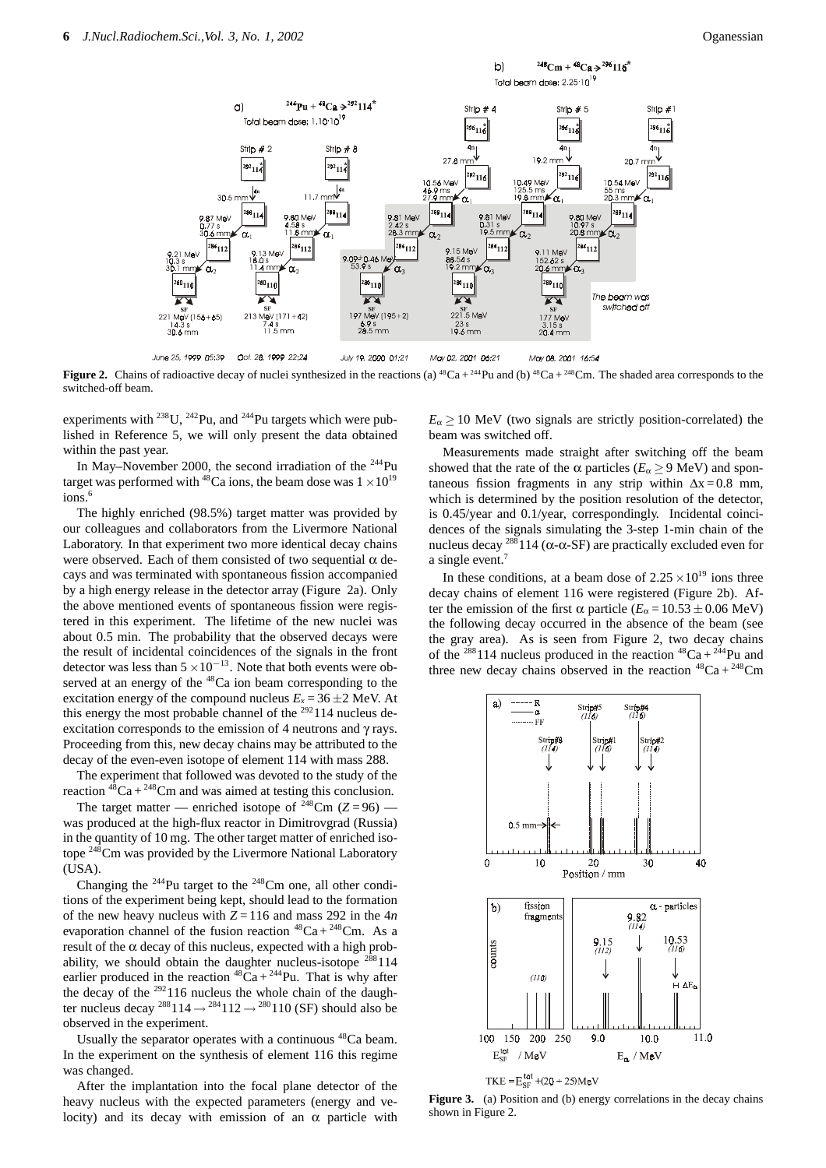

**Figure 2.** Chains of radioactive decay of nuclei synthesized in the reactions (a) <sup>48</sup>Ca + <sup>244</sup>Pu and (b) <sup>48</sup>Ca + <sup>248</sup>Cm. The shaded area corresponds to the switched-off beam.

experiments with  $^{238}$ U,  $^{242}$ Pu, and  $^{244}$ Pu targets which were published in Reference 5, we will only present the data obtained within the past year.

In May–November 2000, the second irradiation of the  $^{244}$ Pu target was performed with <sup>48</sup>Ca ions, the beam dose was  $1 \times 10^{19}$ ions.<sup>6</sup>

The highly enriched (98.5%) target matter was provided by our colleagues and collaborators from the Livermore National Laboratory. In that experiment two more identical decay chains were observed. Each of them consisted of two sequential  $\alpha$  decays and was terminated with spontaneous fission accompanied by a high energy release in the detector array (Figure 2a). Only the above mentioned events of spontaneous fission were registered in this experiment. The lifetime of the new nuclei was about 0.5 min. The probability that the observed decays were the result of incidental coincidences of the signals in the front detector was less than 5 <sup>×</sup>10*−*13. Note that both events were observed at an energy of the  $48$ Ca ion beam corresponding to the excitation energy of the compound nucleus  $E_x = 36 \pm 2$  MeV. At this energy the most probable channel of the <sup>292</sup>114 nucleus deexcitation corresponds to the emission of 4 neutrons and  $\gamma$  rays. Proceeding from this, new decay chains may be attributed to the decay of the even-even isotope of element 114 with mass 288.

The experiment that followed was devoted to the study of the reaction  $48\text{Ca} + 248\text{Cm}$  and was aimed at testing this conclusion.

The target matter — enriched isotope of  $248$ Cm (*Z* = 96) was produced at the high-flux reactor in Dimitrovgrad (Russia) in the quantity of 10 mg. The other target matter of enriched isotope <sup>248</sup>Cm was provided by the Livermore National Laboratory (USA).

Changing the 244Pu target to the 248Cm one, all other conditions of the experiment being kept, should lead to the formation of the new heavy nucleus with  $Z = 116$  and mass 292 in the  $4n$ evaporation channel of the fusion reaction  $^{48}Ca + ^{248}Cm$ . As a result of the  $\alpha$  decay of this nucleus, expected with a high probability, we should obtain the daughter nucleus-isotope  $288114$ earlier produced in the reaction  ${}^{48}Ca + {}^{244}Pu$ . That is why after the decay of the  $292116$  nucleus the whole chain of the daughter nucleus decay <sup>288</sup>114  $\rightarrow$  <sup>284</sup>112  $\rightarrow$  <sup>280</sup>110 (SF) should also be observed in the experiment.

Usually the separator operates with a continuous 48Ca beam. In the experiment on the synthesis of element 116 this regime was changed.

After the implantation into the focal plane detector of the heavy nucleus with the expected parameters (energy and velocity) and its decay with emission of an  $\alpha$  particle with  $E_\alpha$  > 10 MeV (two signals are strictly position-correlated) the beam was switched off.

Measurements made straight after switching off the beam showed that the rate of the  $\alpha$  particles ( $E_{\alpha} \ge 9$  MeV) and spontaneous fission fragments in any strip within  $\Delta x = 0.8$  mm, which is determined by the position resolution of the detector, is 0.45/year and 0.1/year, correspondingly. Incidental coincidences of the signals simulating the 3-step 1-min chain of the nucleus decay <sup>288</sup>114 (α-α-SF) are practically excluded even for a single event.<sup>7</sup>

In these conditions, at a beam dose of  $2.25 \times 10^{19}$  ions three decay chains of element 116 were registered (Figure 2b). After the emission of the first  $\alpha$  particle ( $E_{\alpha} = 10.53 \pm 0.06$  MeV) the following decay occurred in the absence of the beam (see the gray area). As is seen from Figure 2, two decay chains of the <sup>288</sup>114 nucleus produced in the reaction <sup>48</sup>Ca + <sup>244</sup>Pu and three new decay chains observed in the reaction  ${}^{48}Ca + {}^{248}Cm$ 



TKE =  $E_{SF}^{tot}$  + (20 ÷ 25) MeV

**Figure 3.** (a) Position and (b) energy correlations in the decay chains shown in Figure 2.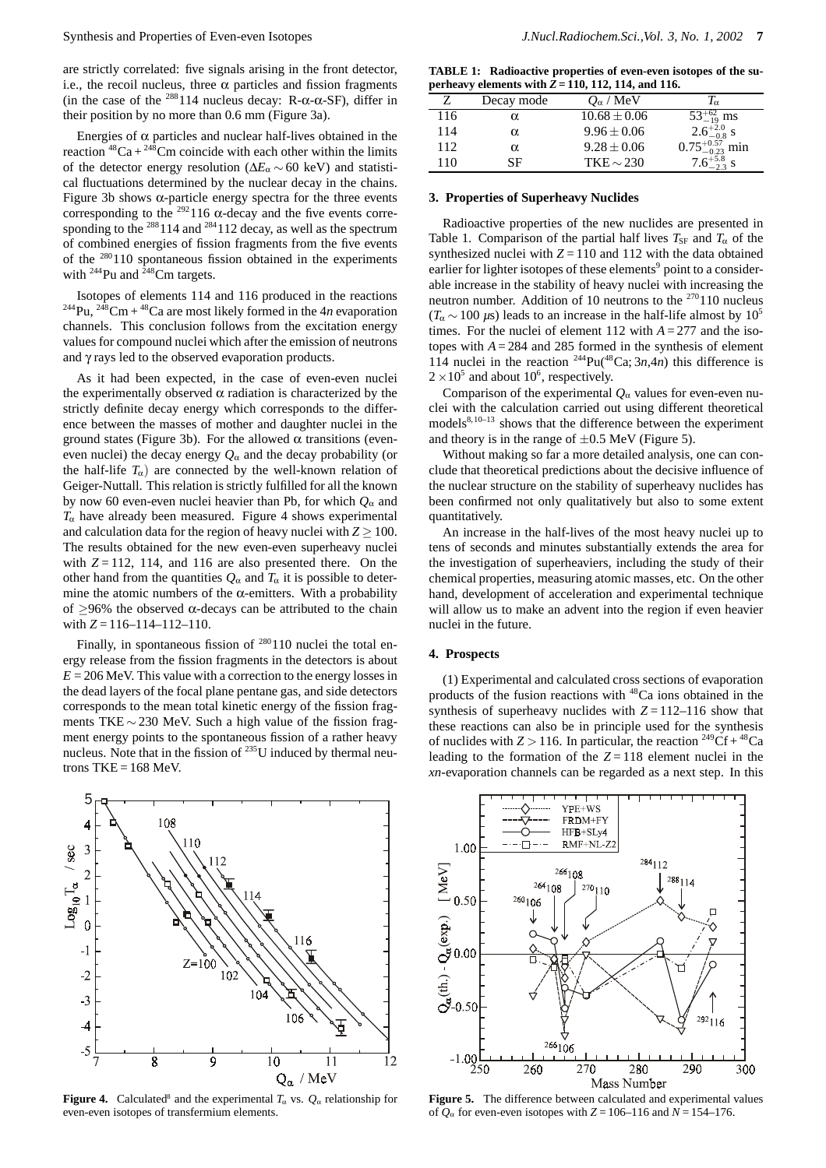are strictly correlated: five signals arising in the front detector, i.e., the recoil nucleus, three  $\alpha$  particles and fission fragments (in the case of the <sup>288</sup>114 nucleus decay: R- $\alpha$ - $\alpha$ -SF), differ in their position by no more than 0.6 mm (Figure 3a).

Energies of  $\alpha$  particles and nuclear half-lives obtained in the reaction  ${}^{48}Ca + {}^{248}Cm$  coincide with each other within the limits of the detector energy resolution (∆*E*<sup>α</sup> ∼ 60 keV) and statistical fluctuations determined by the nuclear decay in the chains. Figure 3b shows α-particle energy spectra for the three events corresponding to the <sup>292</sup>116  $\alpha$ -decay and the five events corresponding to the  $^{288}$  114 and  $^{284}$  112 decay, as well as the spectrum of combined energies of fission fragments from the five events of the <sup>280</sup>110 spontaneous fission obtained in the experiments with  $244$ Pu and  $248$ Cm targets.

Isotopes of elements 114 and 116 produced in the reactions <sup>244</sup>Pu, <sup>248</sup>Cm + <sup>48</sup>Ca are most likely formed in the 4*n* evaporation channels. This conclusion follows from the excitation energy values for compound nuclei which after the emission of neutrons and γ rays led to the observed evaporation products.

As it had been expected, in the case of even-even nuclei the experimentally observed  $\alpha$  radiation is characterized by the strictly definite decay energy which corresponds to the difference between the masses of mother and daughter nuclei in the ground states (Figure 3b). For the allowed α transitions (eveneven nuclei) the decay energy  $Q_{\alpha}$  and the decay probability (or the half-life  $T_\alpha$ ) are connected by the well-known relation of Geiger-Nuttall. This relation is strictly fulfilled for all the known by now 60 even-even nuclei heavier than Pb, for which *Q*<sup>α</sup> and  $T_{\alpha}$  have already been measured. Figure 4 shows experimental and calculation data for the region of heavy nuclei with  $Z \ge 100$ . The results obtained for the new even-even superheavy nuclei with  $Z = 112$ , 114, and 116 are also presented there. On the other hand from the quantities  $Q_{\alpha}$  and  $T_{\alpha}$  it is possible to determine the atomic numbers of the  $\alpha$ -emitters. With a probability of  $\geq$ 96% the observed  $\alpha$ -decays can be attributed to the chain with  $Z = 116 - 114 - 112 - 110$ .

Finally, in spontaneous fission of  $280110$  nuclei the total energy release from the fission fragments in the detectors is about  $E = 206$  MeV. This value with a correction to the energy losses in the dead layers of the focal plane pentane gas, and side detectors corresponds to the mean total kinetic energy of the fission fragments TKE ∼ 230 MeV. Such a high value of the fission fragment energy points to the spontaneous fission of a rather heavy nucleus. Note that in the fission of  $^{235}$ U induced by thermal neutrons  $TKE = 168$  MeV.



**Figure 4.** Calculated<sup>8</sup> and the experimental  $T_\alpha$  vs.  $Q_\alpha$  relationship for even-even isotopes of transfermium elements.

**TABLE 1: Radioactive properties of even-even isotopes of the superheavy elements with** *Z* **= 110, 112, 114, and 116.**

|     | Decay mode | $Q_{\alpha}$ / MeV | Tα                         |
|-----|------------|--------------------|----------------------------|
| 116 | α          | $10.68 \pm 0.06$   | $53^{+62}_{-19}$ ms        |
| 114 | α          | $9.96 \pm 0.06$    | $2.6^{+2.0}_{-0.8}$ s      |
| 112 | α          | $9.28 \pm 0.06$    | $0.75_{-0.23}^{+0.57}$ min |
| 110 | SF         | $TKE \sim 230$     | $7.6^{+5.8}_{-2.2}$ s      |
|     |            |                    |                            |

#### **3. Properties of Superheavy Nuclides**

Radioactive properties of the new nuclides are presented in Table 1. Comparison of the partial half lives  $T_{\rm SF}$  and  $T_{\alpha}$  of the synthesized nuclei with  $Z = 110$  and 112 with the data obtained earlier for lighter isotopes of these elements<sup>9</sup> point to a considerable increase in the stability of heavy nuclei with increasing the neutron number. Addition of 10 neutrons to the  $270110$  nucleus  $(T_\alpha \sim 100 \,\mu s)$  leads to an increase in the half-life almost by  $10^5$ times. For the nuclei of element 112 with  $A = 277$  and the isotopes with  $A = 284$  and 285 formed in the synthesis of element 114 nuclei in the reaction  $244$ Pu( $48$ Ca;  $3n$ ,  $4n$ ) this difference is  $2 \times 10^5$  and about 10<sup>6</sup>, respectively.

Comparison of the experimental  $O_\alpha$  values for even-even nuclei with the calculation carried out using different theoretical models $8,10-13$  shows that the difference between the experiment and theory is in the range of  $\pm 0.5$  MeV (Figure 5).

Without making so far a more detailed analysis, one can conclude that theoretical predictions about the decisive influence of the nuclear structure on the stability of superheavy nuclides has been confirmed not only qualitatively but also to some extent quantitatively.

An increase in the half-lives of the most heavy nuclei up to tens of seconds and minutes substantially extends the area for the investigation of superheaviers, including the study of their chemical properties, measuring atomic masses, etc. On the other hand, development of acceleration and experimental technique will allow us to make an advent into the region if even heavier nuclei in the future.

#### **4. Prospects**

(1) Experimental and calculated cross sections of evaporation products of the fusion reactions with 48Ca ions obtained in the synthesis of superheavy nuclides with  $Z = 112-116$  show that these reactions can also be in principle used for the synthesis of nuclides with  $Z > 116$ . In particular, the reaction <sup>249</sup>Cf + <sup>48</sup>Ca leading to the formation of the  $Z = 118$  element nuclei in the *xn*-evaporation channels can be regarded as a next step. In this



**Figure 5.** The difference between calculated and experimental values of  $Q_{\alpha}$  for even-even isotopes with  $Z = 106-116$  and  $N = 154-176$ .